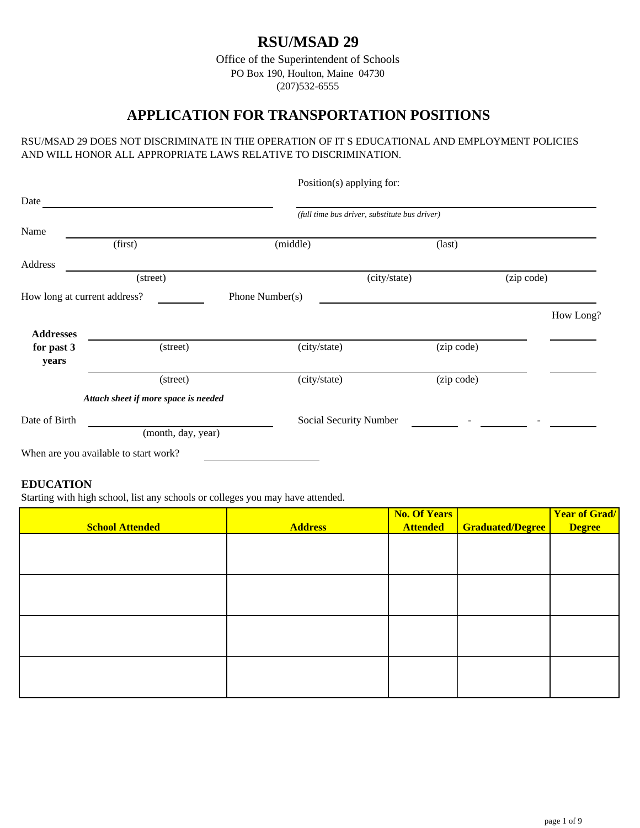# **RSU/MSAD 29**

Office of the Superintendent of Schools PO Box 190, Houlton, Maine 04730 (207)532-6555

## **APPLICATION FOR TRANSPORTATION POSITIONS**

#### RSU/MSAD 29 DOES NOT DISCRIMINATE IN THE OPERATION OF IT S EDUCATIONAL AND EMPLOYMENT POLICIES AND WILL HONOR ALL APPROPRIATE LAWS RELATIVE TO DISCRIMINATION.

|                              |                                       |                 | Position(s) applying for:                     |                 |            |
|------------------------------|---------------------------------------|-----------------|-----------------------------------------------|-----------------|------------|
| Date                         |                                       |                 |                                               |                 |            |
|                              |                                       |                 | (full time bus driver, substitute bus driver) |                 |            |
| Name                         |                                       |                 |                                               |                 |            |
|                              | (first)                               | (middle)        |                                               | $\text{(last)}$ |            |
| Address                      |                                       |                 |                                               |                 |            |
|                              | (street)                              |                 | (city/state)                                  |                 | (zip code) |
| How long at current address? |                                       | Phone Number(s) |                                               |                 |            |
|                              |                                       |                 |                                               |                 | How Long?  |
| <b>Addresses</b>             |                                       |                 |                                               |                 |            |
| for past 3                   | (street)                              | (city/state)    |                                               | (zip code)      |            |
| years                        |                                       |                 |                                               |                 |            |
|                              | (street)                              | (city/state)    |                                               | (zip code)      |            |
|                              | Attach sheet if more space is needed  |                 |                                               |                 |            |
| Date of Birth                |                                       |                 | Social Security Number                        |                 |            |
|                              | (month, day, year)                    |                 |                                               |                 |            |
|                              | When are you available to start work? |                 |                                               |                 |            |

# **EDUCATION**

Starting with high school, list any schools or colleges you may have attended.

| <b>School Attended</b> | <b>Address</b> | <b>No. Of Years</b><br><b>Attended</b> | <b>Graduated/Degree</b> | <b>Year of Grad/</b><br><b>Degree</b> |
|------------------------|----------------|----------------------------------------|-------------------------|---------------------------------------|
|                        |                |                                        |                         |                                       |
|                        |                |                                        |                         |                                       |
|                        |                |                                        |                         |                                       |
|                        |                |                                        |                         |                                       |
|                        |                |                                        |                         |                                       |
|                        |                |                                        |                         |                                       |
|                        |                |                                        |                         |                                       |
|                        |                |                                        |                         |                                       |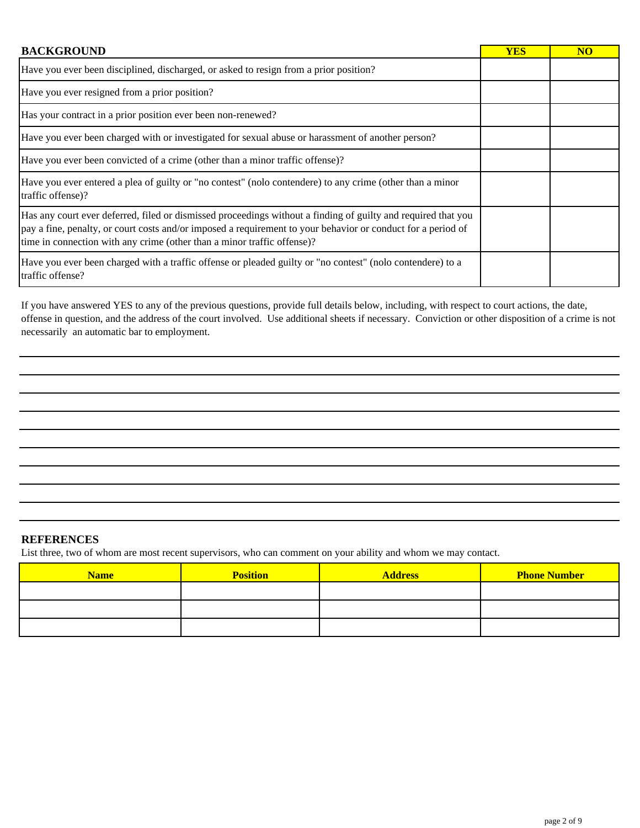| <b>BACKGROUND</b>                                                                                                                                                                                                                                                                                        | <b>YES</b> | <b>NO</b> |
|----------------------------------------------------------------------------------------------------------------------------------------------------------------------------------------------------------------------------------------------------------------------------------------------------------|------------|-----------|
| Have you ever been disciplined, discharged, or asked to resign from a prior position?                                                                                                                                                                                                                    |            |           |
| Have you ever resigned from a prior position?                                                                                                                                                                                                                                                            |            |           |
| Has your contract in a prior position ever been non-renewed?                                                                                                                                                                                                                                             |            |           |
| Have you ever been charged with or investigated for sexual abuse or harassment of another person?                                                                                                                                                                                                        |            |           |
| Have you ever been convicted of a crime (other than a minor traffic offense)?                                                                                                                                                                                                                            |            |           |
| Have you ever entered a plea of guilty or "no contest" (nolo contendere) to any crime (other than a minor<br>traffic offense)?                                                                                                                                                                           |            |           |
| Has any court ever deferred, filed or dismissed proceedings without a finding of guilty and required that you<br>pay a fine, penalty, or court costs and/or imposed a requirement to your behavior or conduct for a period of<br>time in connection with any crime (other than a minor traffic offense)? |            |           |
| Have you ever been charged with a traffic offense or pleaded guilty or "no contest" (nolo contendere) to a<br>traffic offense?                                                                                                                                                                           |            |           |

If you have answered YES to any of the previous questions, provide full details below, including, with respect to court actions, the date, offense in question, and the address of the court involved. Use additional sheets if necessary. Conviction or other disposition of a crime is not necessarily an automatic bar to employment.

#### **REFERENCES**

List three, two of whom are most recent supervisors, who can comment on your ability and whom we may contact.

| <b>Name</b> | <b>Position</b> | <b>Address</b> | <b>Phone Number</b> |
|-------------|-----------------|----------------|---------------------|
|             |                 |                |                     |
|             |                 |                |                     |
|             |                 |                |                     |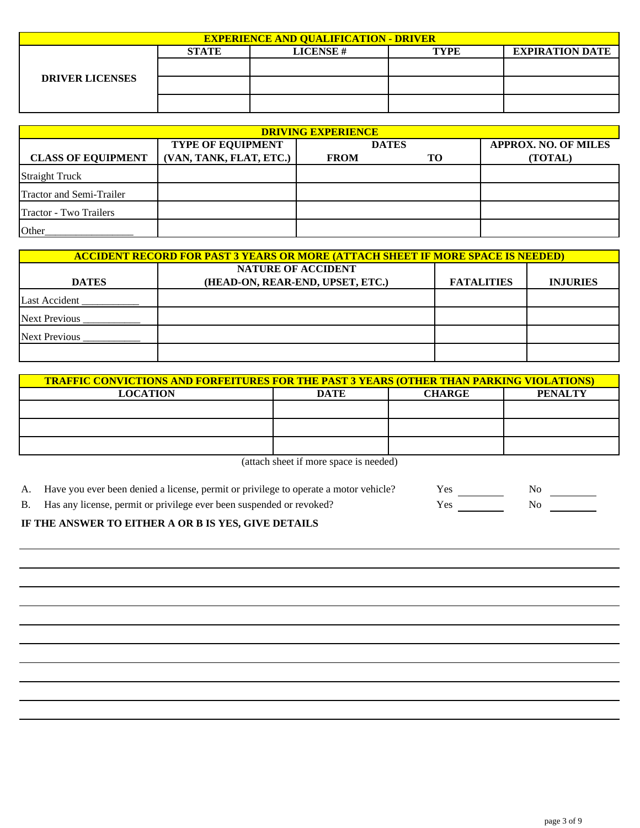| <b>EXPERIENCE AND QUALIFICATION - DRIVER</b> |              |                 |             |                        |  |  |
|----------------------------------------------|--------------|-----------------|-------------|------------------------|--|--|
|                                              | <b>STATE</b> | <b>LICENSE#</b> | <b>TYPE</b> | <b>EXPIRATION DATE</b> |  |  |
|                                              |              |                 |             |                        |  |  |
| <b>DRIVER LICENSES</b>                       |              |                 |             |                        |  |  |
|                                              |              |                 |             |                        |  |  |

| <b>DRIVING EXPERIENCE</b>       |                          |             |                                             |         |  |  |  |
|---------------------------------|--------------------------|-------------|---------------------------------------------|---------|--|--|--|
|                                 | <b>TYPE OF EQUIPMENT</b> |             | <b>APPROX. NO. OF MILES</b><br><b>DATES</b> |         |  |  |  |
| <b>CLASS OF EQUIPMENT</b>       | (VAN, TANK, FLAT, ETC.)  | <b>FROM</b> | <b>TO</b>                                   | (TOTAL) |  |  |  |
| <b>Straight Truck</b>           |                          |             |                                             |         |  |  |  |
| <b>Tractor and Semi-Trailer</b> |                          |             |                                             |         |  |  |  |
| <b>Tractor - Two Trailers</b>   |                          |             |                                             |         |  |  |  |
| Other                           |                          |             |                                             |         |  |  |  |

| <b>ACCIDENT RECORD FOR PAST 3 YEARS OR MORE (ATTACH SHEET IF MORE SPACE IS NEEDED)</b> |                                  |                   |                 |  |  |
|----------------------------------------------------------------------------------------|----------------------------------|-------------------|-----------------|--|--|
| <b>NATURE OF ACCIDENT</b>                                                              |                                  |                   |                 |  |  |
| <b>DATES</b>                                                                           | (HEAD-ON, REAR-END, UPSET, ETC.) | <b>FATALITIES</b> | <b>INJURIES</b> |  |  |
| <b>Last Accident</b>                                                                   |                                  |                   |                 |  |  |
| <b>Next Previous</b>                                                                   |                                  |                   |                 |  |  |
| <b>Next Previous</b>                                                                   |                                  |                   |                 |  |  |
|                                                                                        |                                  |                   |                 |  |  |

| <b>TRAFFIC CONVICTIONS AND FORFEITURES FOR THE PAST 3 YEARS (OTHER THAN PARKING VIOLATIONS)</b> |  |  |  |  |  |  |  |
|-------------------------------------------------------------------------------------------------|--|--|--|--|--|--|--|
| <b>PENALTY</b><br><b>LOCATION</b><br>DATE<br><b>CHARGE</b>                                      |  |  |  |  |  |  |  |
|                                                                                                 |  |  |  |  |  |  |  |
|                                                                                                 |  |  |  |  |  |  |  |
|                                                                                                 |  |  |  |  |  |  |  |

(attach sheet if more space is needed)

| A. Have you ever been denied a license, permit or privilege to operate a motor vehicle? | <b>Yes</b> |  |
|-----------------------------------------------------------------------------------------|------------|--|
| B. Has any license, permit or privilege ever been suspended or revoked?                 | Yes.       |  |

#### **IF THE ANSWER TO EITHER A OR B IS YES, GIVE DETAILS**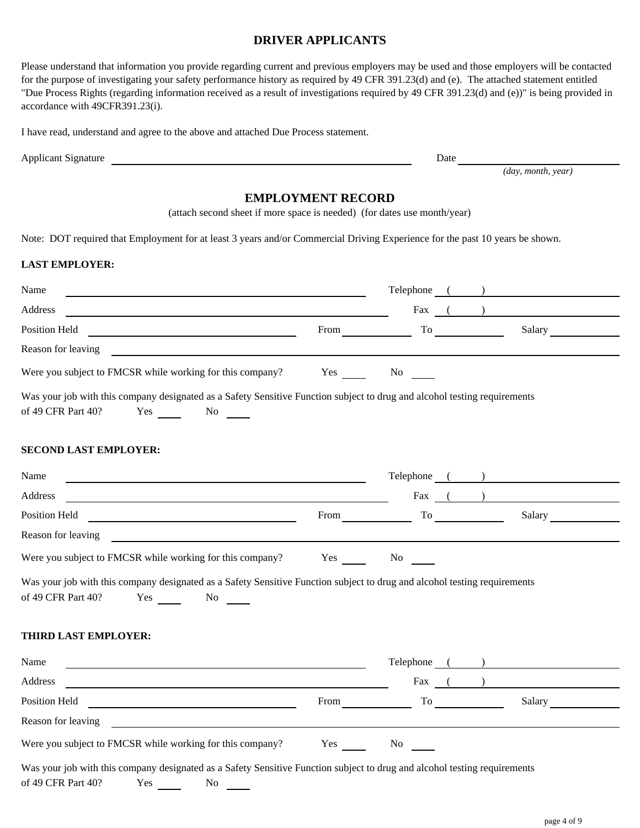#### **DRIVER APPLICANTS**

| Please understand that information you provide regarding current and previous employers may be used and those employers will be contacted     |
|-----------------------------------------------------------------------------------------------------------------------------------------------|
| for the purpose of investigating your safety performance history as required by 49 CFR 391.23(d) and (e). The attached statement entitled     |
| "Due Process Rights (regarding information received as a result of investigations required by 49 CFR 391.23(d) and (e))" is being provided in |
| accordance with 49CFR391.23(i).                                                                                                               |

I have read, understand and agree to the above and attached Due Process statement.

| <b>Applicant Signature</b> | )ate |
|----------------------------|------|
|                            |      |

*(day, month, year)*

### **EMPLOYMENT RECORD**

(attach second sheet if more space is needed) (for dates use month/year)

Note: DOT required that Employment for at least 3 years and/or Commercial Driving Experience for the past 10 years be shown.

#### **LAST EMPLOYER:**

| Name                                                                                                                                                                                                                                  |             |                      |                                                                                                                                                                                                                                | Telephone ( ) |
|---------------------------------------------------------------------------------------------------------------------------------------------------------------------------------------------------------------------------------------|-------------|----------------------|--------------------------------------------------------------------------------------------------------------------------------------------------------------------------------------------------------------------------------|---------------|
| Address<br><u> 1980 - Johann Barn, mars an t-Amerikaansk politiker (* 1918)</u>                                                                                                                                                       |             |                      |                                                                                                                                                                                                                                | Fax $($       |
| Position Held<br><u> Letting and the contract of the contract of the contract of the contract of the contract of the contract of the contract of the contract of the contract of the contract of the contract of the contract of </u> | <b>From</b> |                      | To the contract of the contract of the contract of the contract of the contract of the contract of the contract of the contract of the contract of the contract of the contract of the contract of the contract of the contrac | Salary        |
| Reason for leaving                                                                                                                                                                                                                    |             |                      |                                                                                                                                                                                                                                |               |
| Were you subject to FMCSR while working for this company? Yes No                                                                                                                                                                      |             |                      |                                                                                                                                                                                                                                |               |
| Was your job with this company designated as a Safety Sensitive Function subject to drug and alcohol testing requirements<br>of 49 CFR Part 40?<br>Yes No                                                                             |             |                      |                                                                                                                                                                                                                                |               |
| <b>SECOND LAST EMPLOYER:</b>                                                                                                                                                                                                          |             |                      |                                                                                                                                                                                                                                |               |
| Name                                                                                                                                                                                                                                  |             |                      |                                                                                                                                                                                                                                | Telephone ( ) |
| Address                                                                                                                                                                                                                               |             |                      |                                                                                                                                                                                                                                | Fax $($       |
| Position Held <b>New York of The Contract Contract Contract Contract Contract Contract Contract Contract Contract Contract Contract Contract Contract Contract Contract Contract Contract Contract Contract Contract Contract Co</b>  |             | From To              |                                                                                                                                                                                                                                | Salary        |
| Reason for leaving the contract of the contract of the contract of the contract of the contract of the contract of the contract of the contract of the contract of the contract of the contract of the contract of the contrac        |             |                      |                                                                                                                                                                                                                                |               |
| Were you subject to FMCSR while working for this company? Yes No                                                                                                                                                                      |             |                      |                                                                                                                                                                                                                                |               |
| Was your job with this company designated as a Safety Sensitive Function subject to drug and alcohol testing requirements<br>of 49 CFR Part 40?<br>Yes No                                                                             |             |                      |                                                                                                                                                                                                                                |               |
| <b>THIRD LAST EMPLOYER:</b>                                                                                                                                                                                                           |             |                      |                                                                                                                                                                                                                                |               |
| Name                                                                                                                                                                                                                                  |             |                      |                                                                                                                                                                                                                                | Telephone ( ) |
| Address                                                                                                                                                                                                                               |             |                      | Fax $($ $)$                                                                                                                                                                                                                    |               |
| Position Held<br><u> 1989 - Johann Stoff, fransk politik (d. 1989)</u>                                                                                                                                                                | From        |                      | To the contract of the contract of the contract of the contract of the contract of the contract of the contract of the contract of the contract of the contract of the contract of the contract of the contract of the contrac | Salary        |
|                                                                                                                                                                                                                                       |             |                      |                                                                                                                                                                                                                                |               |
| Were you subject to FMCSR while working for this company?                                                                                                                                                                             | Yes         | $\frac{No \f{c}}{a}$ |                                                                                                                                                                                                                                |               |
| Was your job with this company designated as a Safety Sensitive Function subject to drug and alcohol testing requirements<br>of 49 CFR Part 40?<br>Yes No                                                                             |             |                      |                                                                                                                                                                                                                                |               |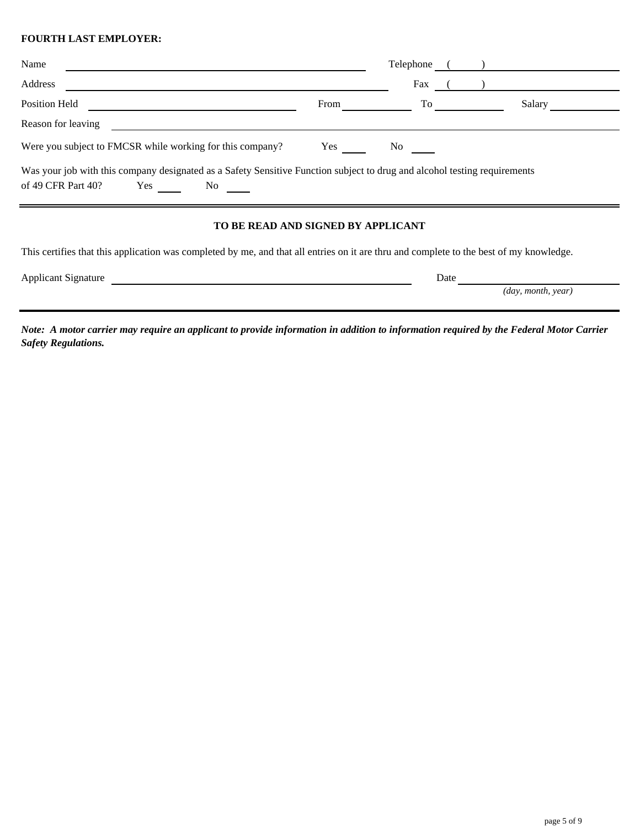#### **FOURTH LAST EMPLOYER:**

| Name                                                                                                                                                                                                                                                                                                                                                                                    |      | Telephone |        |
|-----------------------------------------------------------------------------------------------------------------------------------------------------------------------------------------------------------------------------------------------------------------------------------------------------------------------------------------------------------------------------------------|------|-----------|--------|
| Address                                                                                                                                                                                                                                                                                                                                                                                 |      | Fax       |        |
| Position Held                                                                                                                                                                                                                                                                                                                                                                           | From | To        | Salary |
| Reason for leaving                                                                                                                                                                                                                                                                                                                                                                      |      |           |        |
| Were you subject to FMCSR while working for this company?                                                                                                                                                                                                                                                                                                                               | Yes  | No.       |        |
| Was your job with this company designated as a Safety Sensitive Function subject to drug and alcohol testing requirements<br>of 49 CFR Part 40?<br>Yes<br>No note that the set of the set of the set of the set of the set of the set of the set of the set of the set of the set of the set of the set of the set of the set of the set of the set of the set of the set of the set of |      |           |        |
| <b>MO BE BELD LUB GLOUED BY LBBLICLUB</b>                                                                                                                                                                                                                                                                                                                                               |      |           |        |

# **TO BE READ AND SIGNED BY APPLICANT**

This certifies that this application was completed by me, and that all entries on it are thru and complete to the best of my knowledge.

| <b>Applicant Signature</b> | Date |                             |
|----------------------------|------|-----------------------------|
|                            |      | $\langle$ day, month, year) |

*Note: A motor carrier may require an applicant to provide information in addition to information required by the Federal Motor Carrier Safety Regulations.*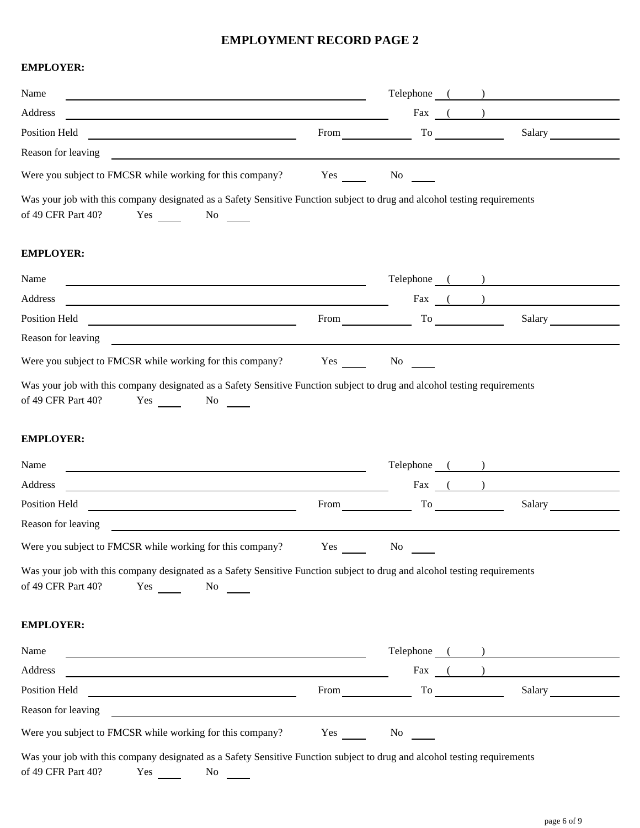#### **EMPLOYMENT RECORD PAGE 2**

#### **EMPLOYER:**

| Name                                                                                                                                                                     |             | Telephone ( )                                                                                                                                                                                                                            |
|--------------------------------------------------------------------------------------------------------------------------------------------------------------------------|-------------|------------------------------------------------------------------------------------------------------------------------------------------------------------------------------------------------------------------------------------------|
| Address<br><u> 1980 - Johann Barn, amerikan personal (h. 1980).</u>                                                                                                      |             | Fax $($ $)$                                                                                                                                                                                                                              |
| Position Held<br><u> 1989 - Andrea Stadt Britain, amerikansk politik (</u>                                                                                               |             | Salary<br>From To To                                                                                                                                                                                                                     |
| Reason for leaving                                                                                                                                                       |             |                                                                                                                                                                                                                                          |
| Were you subject to FMCSR while working for this company?                                                                                                                |             | Yes No                                                                                                                                                                                                                                   |
| Was your job with this company designated as a Safety Sensitive Function subject to drug and alcohol testing requirements<br>of 49 CFR Part 40?<br>Yes No No             |             |                                                                                                                                                                                                                                          |
| <b>EMPLOYER:</b>                                                                                                                                                         |             |                                                                                                                                                                                                                                          |
| Name                                                                                                                                                                     |             | Telephone ( )                                                                                                                                                                                                                            |
| Address                                                                                                                                                                  |             | $\text{Fax}$ ( )                                                                                                                                                                                                                         |
| Position Held<br><u> 1989 - Johann Barn, mars eta bat erroman erroman erroman erroman erroman erroman erroman erroman erroman err</u>                                    |             | Salary<br>$From \_\_$                                                                                                                                                                                                                    |
| Reason for leaving<br><u> 1989 - John Stein, Amerikaansk politiker (</u>                                                                                                 |             |                                                                                                                                                                                                                                          |
| Were you subject to FMCSR while working for this company?                                                                                                                |             | Yes No No                                                                                                                                                                                                                                |
| Name<br><u> 1980 - Johann Barn, amerikan bestemannten bestemannten bestemannten bestemannten bestemannten bestemannten b</u><br>Address                                  |             | Telephone ( )<br>Fax $($                                                                                                                                                                                                                 |
| <u> 1989 - Johann Barn, fransk politik fotograf (d. 1989)</u><br>Position Held                                                                                           | $From \_\_$ | To the contract of the contract of the contract of the contract of the contract of the contract of the contract of the contract of the contract of the contract of the contract of the contract of the contract of the contrac<br>Salary |
| <u> 1980 - Johann Barbara, martin amerikan basar da</u><br>Reason for leaving<br><u> 1989 - John Stein, Amerikaansk politiker (</u>                                      |             |                                                                                                                                                                                                                                          |
| Were you subject to FMCSR while working for this company?                                                                                                                | Yes         | No                                                                                                                                                                                                                                       |
| Was your job with this company designated as a Safety Sensitive Function subject to drug and alcohol testing requirements<br>of 49 CFR Part 40?<br>Yes No                |             |                                                                                                                                                                                                                                          |
| <b>EMPLOYER:</b>                                                                                                                                                         |             |                                                                                                                                                                                                                                          |
| Name                                                                                                                                                                     |             | Telephone ( )                                                                                                                                                                                                                            |
| Address<br><u> 1980 - Johann Barn, mars an t-Amerikaansk politiker (* 1950)</u>                                                                                          |             | Fax $($                                                                                                                                                                                                                                  |
|                                                                                                                                                                          |             | From $\qquad \qquad$ To $\qquad \qquad$<br>Salary                                                                                                                                                                                        |
|                                                                                                                                                                          |             |                                                                                                                                                                                                                                          |
| Were you subject to FMCSR while working for this company?                                                                                                                |             | Yes No                                                                                                                                                                                                                                   |
| Was your job with this company designated as a Safety Sensitive Function subject to drug and alcohol testing requirements<br>of 49 CFR Part 40?<br>$Yes \t\t No \t\t No$ |             |                                                                                                                                                                                                                                          |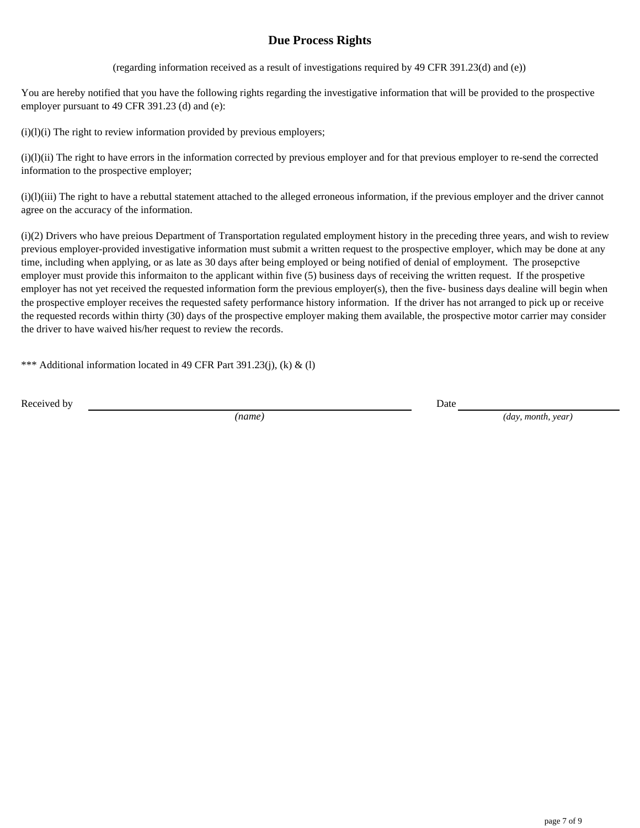## **Due Process Rights**

(regarding information received as a result of investigations required by 49 CFR 391.23(d) and (e))

You are hereby notified that you have the following rights regarding the investigative information that will be provided to the prospective employer pursuant to 49 CFR 391.23 (d) and (e):

 $(i)(l)(i)$  The right to review information provided by previous employers;

(i)(l)(ii) The right to have errors in the information corrected by previous employer and for that previous employer to re-send the corrected information to the prospective employer;

(i)(l)(iii) The right to have a rebuttal statement attached to the alleged erroneous information, if the previous employer and the driver cannot agree on the accuracy of the information.

(i)(2) Drivers who have preious Department of Transportation regulated employment history in the preceding three years, and wish to review previous employer-provided investigative information must submit a written request to the prospective employer, which may be done at any time, including when applying, or as late as 30 days after being employed or being notified of denial of employment. The prosepctive employer must provide this informaiton to the applicant within five (5) business days of receiving the written request. If the prospetive employer has not yet received the requested information form the previous employer(s), then the five- business days dealine will begin when the prospective employer receives the requested safety performance history information. If the driver has not arranged to pick up or receive the requested records within thirty (30) days of the prospective employer making them available, the prospective motor carrier may consider the driver to have waived his/her request to review the records.

\*\*\* Additional information located in 49 CFR Part 391.23(j), (k) & (l)

Received by Date

*(name) (day, month, year)*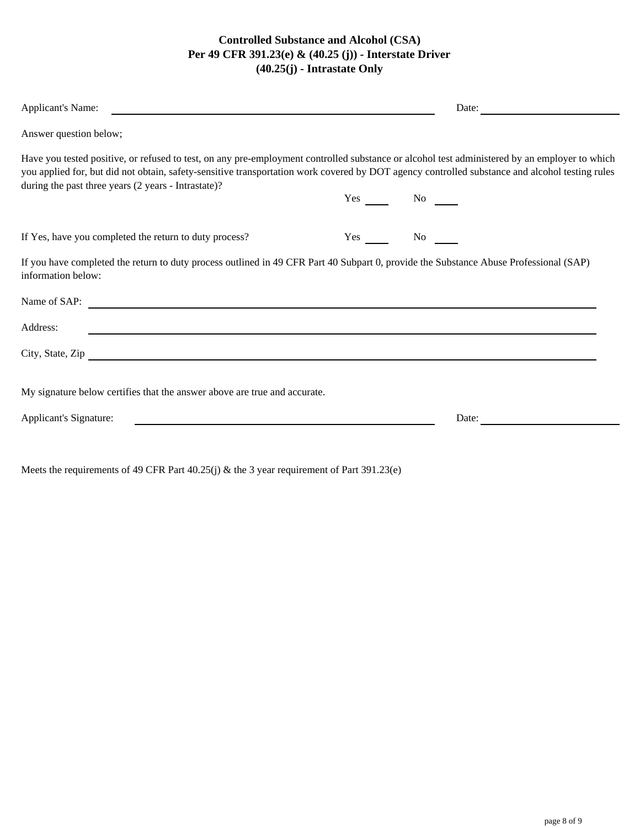## **Controlled Substance and Alcohol (CSA) Per 49 CFR 391.23(e) & (40.25 (j)) - Interstate Driver (40.25(j) - Intrastate Only**

| <b>Applicant's Name:</b>                                                                                                                                                                                                                                                                                                                               | Date:  |  |
|--------------------------------------------------------------------------------------------------------------------------------------------------------------------------------------------------------------------------------------------------------------------------------------------------------------------------------------------------------|--------|--|
| Answer question below;                                                                                                                                                                                                                                                                                                                                 |        |  |
| Have you tested positive, or refused to test, on any pre-employment controlled substance or alcohol test administered by an employer to which<br>you applied for, but did not obtain, safety-sensitive transportation work covered by DOT agency controlled substance and alcohol testing rules<br>during the past three years (2 years - Intrastate)? |        |  |
|                                                                                                                                                                                                                                                                                                                                                        | Yes No |  |
| If Yes, have you completed the return to duty process?                                                                                                                                                                                                                                                                                                 | Yes No |  |
| If you have completed the return to duty process outlined in 49 CFR Part 40 Subpart 0, provide the Substance Abuse Professional (SAP)<br>information below:                                                                                                                                                                                            |        |  |
| Name of SAP:                                                                                                                                                                                                                                                                                                                                           |        |  |
| Address:<br><u> 1989 - Johann Stoff, amerikansk politiker (d. 1989)</u>                                                                                                                                                                                                                                                                                |        |  |
| City, State, Zip                                                                                                                                                                                                                                                                                                                                       |        |  |
| My signature below certifies that the answer above are true and accurate.                                                                                                                                                                                                                                                                              |        |  |
| Applicant's Signature:<br><u> 1980 - Jan Samuel Barbara, margaret eta idazlea (h. 1980).</u>                                                                                                                                                                                                                                                           | Date:  |  |
|                                                                                                                                                                                                                                                                                                                                                        |        |  |

Meets the requirements of 49 CFR Part 40.25(j) & the 3 year requirement of Part 391.23(e)